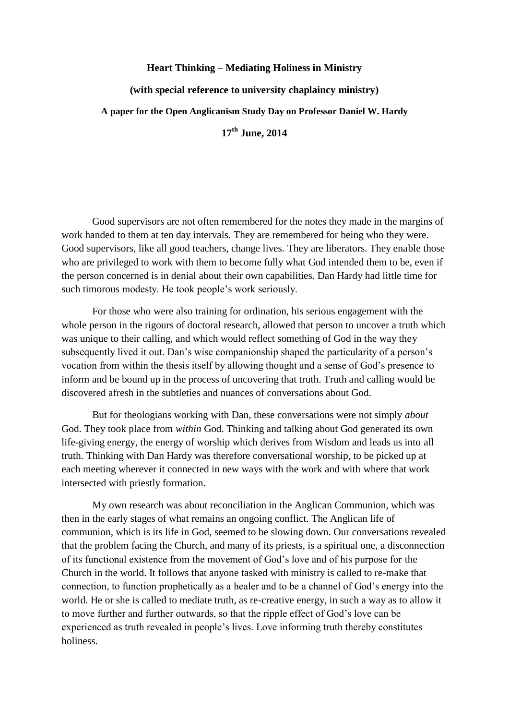## **Heart Thinking – Mediating Holiness in Ministry**

**(with special reference to university chaplaincy ministry)**

**A paper for the Open Anglicanism Study Day on Professor Daniel W. Hardy**

**17th June, 2014**

Good supervisors are not often remembered for the notes they made in the margins of work handed to them at ten day intervals. They are remembered for being who they were. Good supervisors, like all good teachers, change lives. They are liberators. They enable those who are privileged to work with them to become fully what God intended them to be, even if the person concerned is in denial about their own capabilities. Dan Hardy had little time for such timorous modesty. He took people's work seriously.

For those who were also training for ordination, his serious engagement with the whole person in the rigours of doctoral research, allowed that person to uncover a truth which was unique to their calling, and which would reflect something of God in the way they subsequently lived it out. Dan's wise companionship shaped the particularity of a person's vocation from within the thesis itself by allowing thought and a sense of God's presence to inform and be bound up in the process of uncovering that truth. Truth and calling would be discovered afresh in the subtleties and nuances of conversations about God.

But for theologians working with Dan, these conversations were not simply *about* God. They took place from *within* God. Thinking and talking about God generated its own life-giving energy, the energy of worship which derives from Wisdom and leads us into all truth. Thinking with Dan Hardy was therefore conversational worship, to be picked up at each meeting wherever it connected in new ways with the work and with where that work intersected with priestly formation.

My own research was about reconciliation in the Anglican Communion, which was then in the early stages of what remains an ongoing conflict. The Anglican life of communion, which is its life in God, seemed to be slowing down. Our conversations revealed that the problem facing the Church, and many of its priests, is a spiritual one, a disconnection of its functional existence from the movement of God's love and of his purpose for the Church in the world. It follows that anyone tasked with ministry is called to re-make that connection, to function prophetically as a healer and to be a channel of God's energy into the world. He or she is called to mediate truth, as re-creative energy, in such a way as to allow it to move further and further outwards, so that the ripple effect of God's love can be experienced as truth revealed in people's lives. Love informing truth thereby constitutes holiness.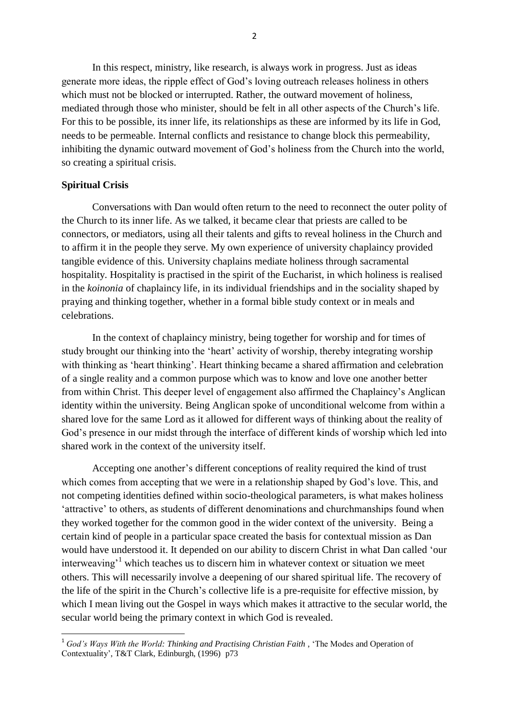In this respect, ministry, like research, is always work in progress. Just as ideas generate more ideas, the ripple effect of God's loving outreach releases holiness in others which must not be blocked or interrupted. Rather, the outward movement of holiness, mediated through those who minister, should be felt in all other aspects of the Church's life. For this to be possible, its inner life, its relationships as these are informed by its life in God, needs to be permeable. Internal conflicts and resistance to change block this permeability, inhibiting the dynamic outward movement of God's holiness from the Church into the world, so creating a spiritual crisis.

#### **Spiritual Crisis**

.

Conversations with Dan would often return to the need to reconnect the outer polity of the Church to its inner life. As we talked, it became clear that priests are called to be connectors, or mediators, using all their talents and gifts to reveal holiness in the Church and to affirm it in the people they serve. My own experience of university chaplaincy provided tangible evidence of this. University chaplains mediate holiness through sacramental hospitality. Hospitality is practised in the spirit of the Eucharist, in which holiness is realised in the *koinonia* of chaplaincy life, in its individual friendships and in the sociality shaped by praying and thinking together, whether in a formal bible study context or in meals and celebrations.

In the context of chaplaincy ministry, being together for worship and for times of study brought our thinking into the 'heart' activity of worship, thereby integrating worship with thinking as 'heart thinking'. Heart thinking became a shared affirmation and celebration of a single reality and a common purpose which was to know and love one another better from within Christ. This deeper level of engagement also affirmed the Chaplaincy's Anglican identity within the university. Being Anglican spoke of unconditional welcome from within a shared love for the same Lord as it allowed for different ways of thinking about the reality of God's presence in our midst through the interface of different kinds of worship which led into shared work in the context of the university itself.

Accepting one another's different conceptions of reality required the kind of trust which comes from accepting that we were in a relationship shaped by God's love. This, and not competing identities defined within socio-theological parameters, is what makes holiness 'attractive' to others, as students of different denominations and churchmanships found when they worked together for the common good in the wider context of the university. Being a certain kind of people in a particular space created the basis for contextual mission as Dan would have understood it. It depended on our ability to discern Christ in what Dan called 'our interweaving<sup>1</sup> which teaches us to discern him in whatever context or situation we meet others. This will necessarily involve a deepening of our shared spiritual life. The recovery of the life of the spirit in the Church's collective life is a pre-requisite for effective mission, by which I mean living out the Gospel in ways which makes it attractive to the secular world, the secular world being the primary context in which God is revealed.

<sup>1</sup> *God's Ways With the World: Thinking and Practising Christian Faith* , 'The Modes and Operation of Contextuality', T&T Clark, Edinburgh, (1996) p73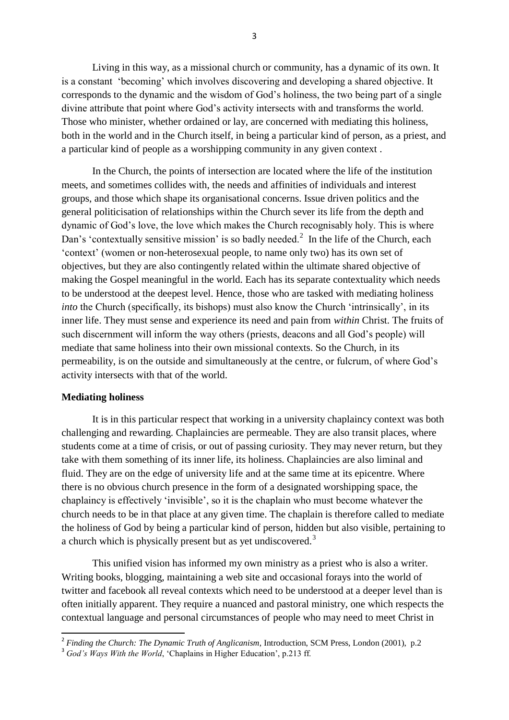Living in this way, as a missional church or community, has a dynamic of its own. It is a constant 'becoming' which involves discovering and developing a shared objective. It corresponds to the dynamic and the wisdom of God's holiness, the two being part of a single divine attribute that point where God's activity intersects with and transforms the world. Those who minister, whether ordained or lay, are concerned with mediating this holiness, both in the world and in the Church itself, in being a particular kind of person, as a priest, and a particular kind of people as a worshipping community in any given context .

In the Church, the points of intersection are located where the life of the institution meets, and sometimes collides with, the needs and affinities of individuals and interest groups, and those which shape its organisational concerns. Issue driven politics and the general politicisation of relationships within the Church sever its life from the depth and dynamic of God's love, the love which makes the Church recognisably holy. This is where Dan's 'contextually sensitive mission' is so badly needed.<sup>2</sup> In the life of the Church, each 'context' (women or non-heterosexual people, to name only two) has its own set of objectives, but they are also contingently related within the ultimate shared objective of making the Gospel meaningful in the world. Each has its separate contextuality which needs to be understood at the deepest level. Hence, those who are tasked with mediating holiness *into* the Church (specifically, its bishops) must also know the Church 'intrinsically', in its inner life. They must sense and experience its need and pain from *within* Christ. The fruits of such discernment will inform the way others (priests, deacons and all God's people) will mediate that same holiness into their own missional contexts. So the Church, in its permeability, is on the outside and simultaneously at the centre, or fulcrum, of where God's activity intersects with that of the world.

### **Mediating holiness**

1

It is in this particular respect that working in a university chaplaincy context was both challenging and rewarding. Chaplaincies are permeable. They are also transit places, where students come at a time of crisis, or out of passing curiosity. They may never return, but they take with them something of its inner life, its holiness. Chaplaincies are also liminal and fluid. They are on the edge of university life and at the same time at its epicentre. Where there is no obvious church presence in the form of a designated worshipping space, the chaplaincy is effectively 'invisible', so it is the chaplain who must become whatever the church needs to be in that place at any given time. The chaplain is therefore called to mediate the holiness of God by being a particular kind of person, hidden but also visible, pertaining to a church which is physically present but as yet undiscovered.<sup>3</sup>

This unified vision has informed my own ministry as a priest who is also a writer. Writing books, blogging, maintaining a web site and occasional forays into the world of twitter and facebook all reveal contexts which need to be understood at a deeper level than is often initially apparent. They require a nuanced and pastoral ministry, one which respects the contextual language and personal circumstances of people who may need to meet Christ in

<sup>2</sup> *Finding the Church: The Dynamic Truth of Anglicanism*, Introduction, SCM Press, London (2001), p.2

<sup>&</sup>lt;sup>3</sup> God's Ways With the World, 'Chaplains in Higher Education', p.213 ff.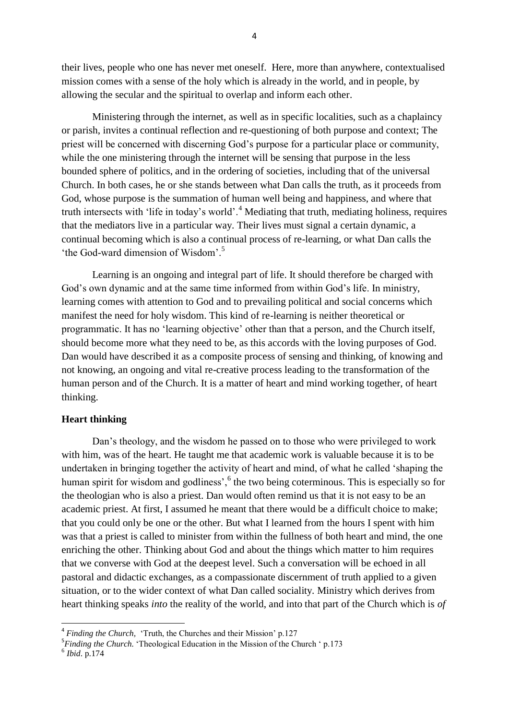their lives, people who one has never met oneself. Here, more than anywhere, contextualised mission comes with a sense of the holy which is already in the world, and in people, by allowing the secular and the spiritual to overlap and inform each other.

Ministering through the internet, as well as in specific localities, such as a chaplaincy or parish, invites a continual reflection and re-questioning of both purpose and context; The priest will be concerned with discerning God's purpose for a particular place or community, while the one ministering through the internet will be sensing that purpose in the less bounded sphere of politics, and in the ordering of societies, including that of the universal Church. In both cases, he or she stands between what Dan calls the truth, as it proceeds from God, whose purpose is the summation of human well being and happiness, and where that truth intersects with 'life in today's world'.<sup>4</sup> Mediating that truth, mediating holiness, requires that the mediators live in a particular way. Their lives must signal a certain dynamic, a continual becoming which is also a continual process of re-learning, or what Dan calls the 'the God-ward dimension of Wisdom'.<sup>5</sup>

Learning is an ongoing and integral part of life. It should therefore be charged with God's own dynamic and at the same time informed from within God's life. In ministry, learning comes with attention to God and to prevailing political and social concerns which manifest the need for holy wisdom. This kind of re-learning is neither theoretical or programmatic. It has no 'learning objective' other than that a person, and the Church itself, should become more what they need to be, as this accords with the loving purposes of God. Dan would have described it as a composite process of sensing and thinking, of knowing and not knowing, an ongoing and vital re-creative process leading to the transformation of the human person and of the Church. It is a matter of heart and mind working together, of heart thinking.

# **Heart thinking**

Dan's theology, and the wisdom he passed on to those who were privileged to work with him, was of the heart. He taught me that academic work is valuable because it is to be undertaken in bringing together the activity of heart and mind, of what he called 'shaping the human spirit for wisdom and godliness', <sup>6</sup> the two being coterminous. This is especially so for the theologian who is also a priest. Dan would often remind us that it is not easy to be an academic priest. At first, I assumed he meant that there would be a difficult choice to make; that you could only be one or the other. But what I learned from the hours I spent with him was that a priest is called to minister from within the fullness of both heart and mind, the one enriching the other. Thinking about God and about the things which matter to him requires that we converse with God at the deepest level. Such a conversation will be echoed in all pastoral and didactic exchanges, as a compassionate discernment of truth applied to a given situation, or to the wider context of what Dan called sociality. Ministry which derives from heart thinking speaks *into* the reality of the world, and into that part of the Church which is *of* 

1

<sup>&</sup>lt;sup>4</sup> Finding the Church, 'Truth, the Churches and their Mission' p.127

<sup>&</sup>lt;sup>5</sup>*Finding the Church*. 'Theological Education in the Mission of the Church ' p.173 <sup>6</sup> *Ibid.* p.174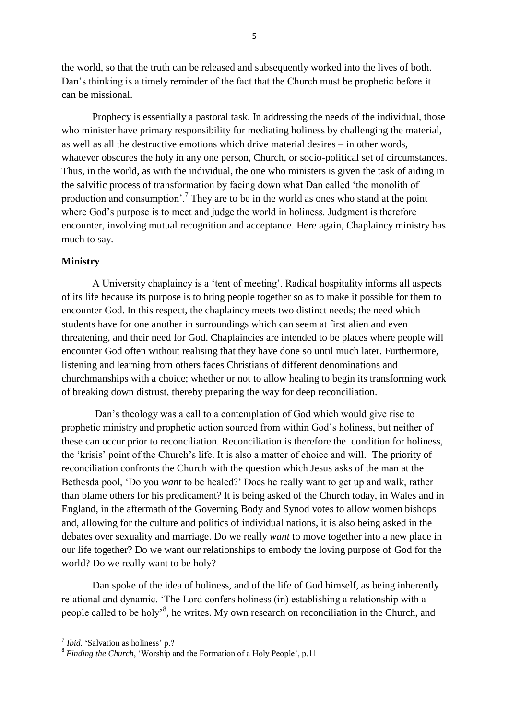the world, so that the truth can be released and subsequently worked into the lives of both. Dan's thinking is a timely reminder of the fact that the Church must be prophetic before it can be missional.

Prophecy is essentially a pastoral task. In addressing the needs of the individual, those who minister have primary responsibility for mediating holiness by challenging the material, as well as all the destructive emotions which drive material desires – in other words, whatever obscures the holy in any one person, Church, or socio-political set of circumstances. Thus, in the world, as with the individual, the one who ministers is given the task of aiding in the salvific process of transformation by facing down what Dan called 'the monolith of production and consumption'.<sup>7</sup> They are to be in the world as ones who stand at the point where God's purpose is to meet and judge the world in holiness. Judgment is therefore encounter, involving mutual recognition and acceptance. Here again, Chaplaincy ministry has much to say.

## **Ministry**

A University chaplaincy is a 'tent of meeting'. Radical hospitality informs all aspects of its life because its purpose is to bring people together so as to make it possible for them to encounter God. In this respect, the chaplaincy meets two distinct needs; the need which students have for one another in surroundings which can seem at first alien and even threatening, and their need for God. Chaplaincies are intended to be places where people will encounter God often without realising that they have done so until much later. Furthermore, listening and learning from others faces Christians of different denominations and churchmanships with a choice; whether or not to allow healing to begin its transforming work of breaking down distrust, thereby preparing the way for deep reconciliation.

Dan's theology was a call to a contemplation of God which would give rise to prophetic ministry and prophetic action sourced from within God's holiness, but neither of these can occur prior to reconciliation. Reconciliation is therefore the condition for holiness, the 'krisis' point of the Church's life. It is also a matter of choice and will. The priority of reconciliation confronts the Church with the question which Jesus asks of the man at the Bethesda pool, 'Do you *want* to be healed?' Does he really want to get up and walk, rather than blame others for his predicament? It is being asked of the Church today, in Wales and in England, in the aftermath of the Governing Body and Synod votes to allow women bishops and, allowing for the culture and politics of individual nations, it is also being asked in the debates over sexuality and marriage. Do we really *want* to move together into a new place in our life together? Do we want our relationships to embody the loving purpose of God for the world? Do we really want to be holy?

Dan spoke of the idea of holiness, and of the life of God himself, as being inherently relational and dynamic. 'The Lord confers holiness (in) establishing a relationship with a people called to be holy<sup>3</sup>, he writes. My own research on reconciliation in the Church, and

.

<sup>7</sup> *Ibid.* 'Salvation as holiness' p.?

<sup>&</sup>lt;sup>8</sup> Finding the Church, 'Worship and the Formation of a Holy People', p.11